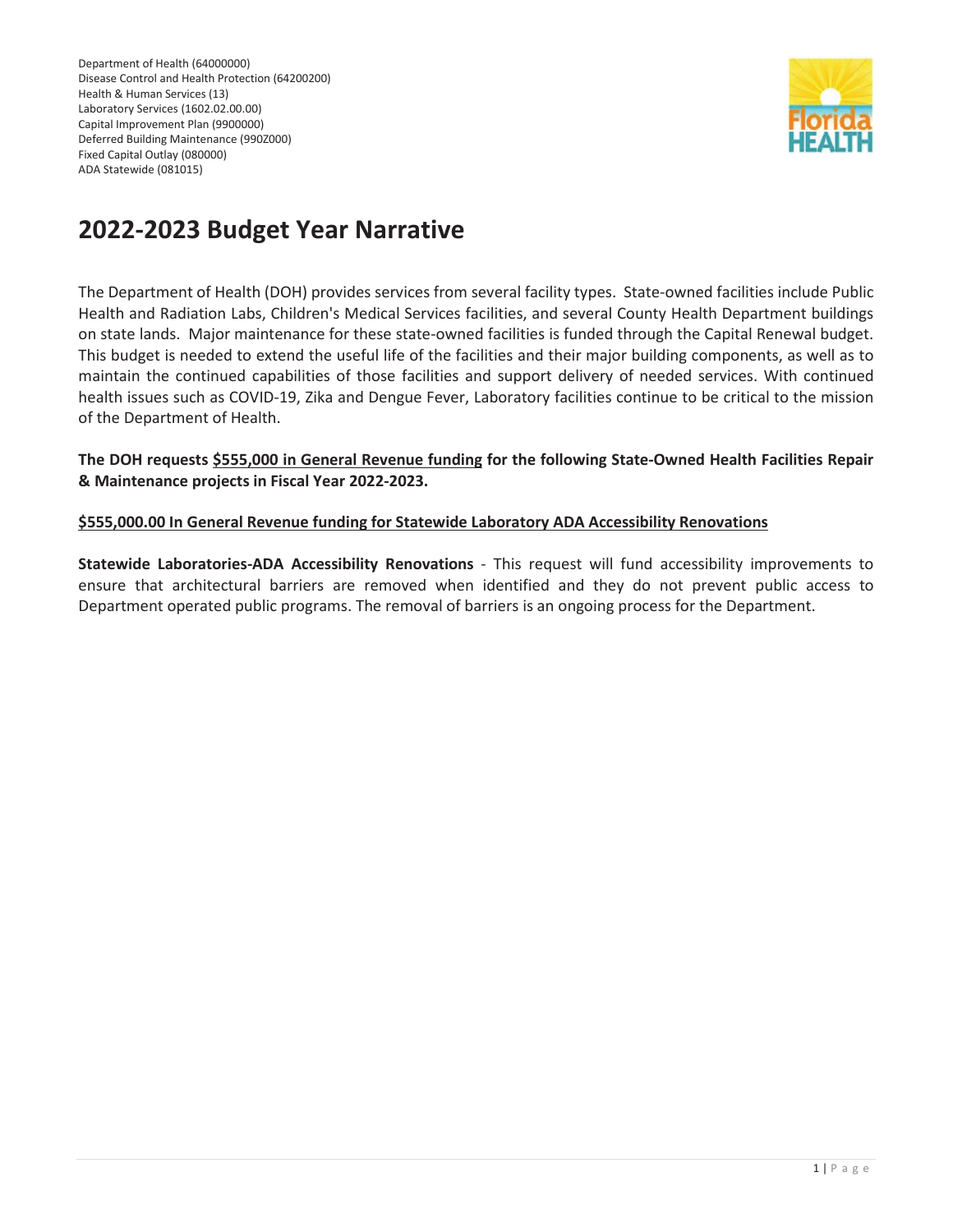Department of Health (64000000) Disease Control and Health Protection (64200200) Health & Human Services (13) Laboratory Services (1602.02.00.00) Capital Improvement Plan (9900000) Deferred Building Maintenance (990Z000) Fixed Capital Outlay (080000) ADA Statewide (081015)



# **2022-2023 Budget Year Narrative**

The Department of Health (DOH) provides services from several facility types. State-owned facilities include Public Health and Radiation Labs, Children's Medical Services facilities, and several County Health Department buildings on state lands. Major maintenance for these state-owned facilities is funded through the Capital Renewal budget. This budget is needed to extend the useful life of the facilities and their major building components, as well as to maintain the continued capabilities of those facilities and support delivery of needed services. With continued health issues such as COVID-19, Zika and Dengue Fever, Laboratory facilities continue to be critical to the mission of the Department of Health.

#### **The DOH requests \$555,000 in General Revenue funding for the following State-Owned Health Facilities Repair & Maintenance projects in Fiscal Year 2022-2023.**

## **\$555,000.00 In General Revenue funding for Statewide Laboratory ADA Accessibility Renovations**

**Statewide Laboratories-ADA Accessibility Renovations** - This request will fund accessibility improvements to ensure that architectural barriers are removed when identified and they do not prevent public access to Department operated public programs. The removal of barriers is an ongoing process for the Department.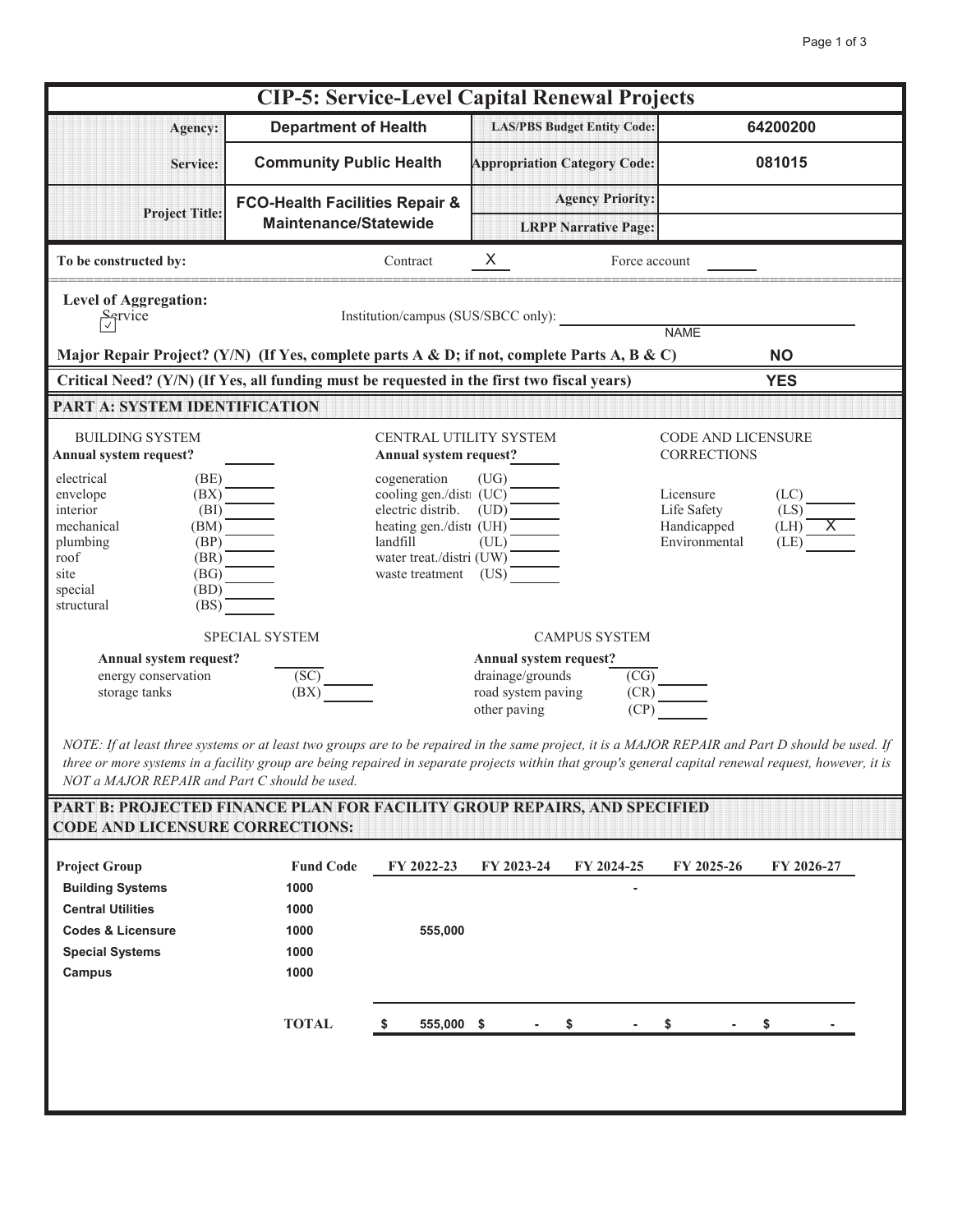| <b>CIP-5: Service-Level Capital Renewal Projects</b>                                                                          |                                                                                                                                                                                                                                                                  |                                                                                                                            |                                                          |                                                 |  |  |  |  |  |
|-------------------------------------------------------------------------------------------------------------------------------|------------------------------------------------------------------------------------------------------------------------------------------------------------------------------------------------------------------------------------------------------------------|----------------------------------------------------------------------------------------------------------------------------|----------------------------------------------------------|-------------------------------------------------|--|--|--|--|--|
| Agency:                                                                                                                       | <b>Department of Health</b>                                                                                                                                                                                                                                      | <b>LAS/PBS Budget Entity Code:</b>                                                                                         |                                                          | 64200200                                        |  |  |  |  |  |
| Service:                                                                                                                      | <b>Community Public Health</b>                                                                                                                                                                                                                                   | <b>Appropriation Category Code:</b>                                                                                        |                                                          | 081015                                          |  |  |  |  |  |
| <b>Project Title:</b>                                                                                                         | <b>FCO-Health Facilities Repair &amp;</b>                                                                                                                                                                                                                        | <b>Agency Priority:</b>                                                                                                    |                                                          |                                                 |  |  |  |  |  |
|                                                                                                                               | <b>Maintenance/Statewide</b>                                                                                                                                                                                                                                     | <b>LRPP Narrative Page:</b>                                                                                                |                                                          |                                                 |  |  |  |  |  |
| To be constructed by:                                                                                                         | Contract                                                                                                                                                                                                                                                         | $X -$                                                                                                                      | Force account                                            |                                                 |  |  |  |  |  |
| <b>Level of Aggregation:</b><br>$\frac{S}{\sqrt{2}}$<br>Institution/campus (SUS/SBCC only):<br><b>NAME</b>                    |                                                                                                                                                                                                                                                                  |                                                                                                                            |                                                          |                                                 |  |  |  |  |  |
|                                                                                                                               |                                                                                                                                                                                                                                                                  |                                                                                                                            |                                                          | <b>NO</b>                                       |  |  |  |  |  |
|                                                                                                                               | Major Repair Project? (Y/N) (If Yes, complete parts A & D; if not, complete Parts A, B & C)                                                                                                                                                                      |                                                                                                                            |                                                          |                                                 |  |  |  |  |  |
| Critical Need? (Y/N) (If Yes, all funding must be requested in the first two fiscal years)<br><b>YES</b>                      |                                                                                                                                                                                                                                                                  |                                                                                                                            |                                                          |                                                 |  |  |  |  |  |
| PART A: SYSTEM IDENTIFICATION                                                                                                 |                                                                                                                                                                                                                                                                  |                                                                                                                            |                                                          |                                                 |  |  |  |  |  |
| <b>BUILDING SYSTEM</b>                                                                                                        | CENTRAL UTILITY SYSTEM                                                                                                                                                                                                                                           |                                                                                                                            |                                                          | CODE AND LICENSURE                              |  |  |  |  |  |
| Annual system request?                                                                                                        | Annual system request?                                                                                                                                                                                                                                           |                                                                                                                            | <b>CORRECTIONS</b>                                       |                                                 |  |  |  |  |  |
| electrical<br>(BE)<br>envelope<br>interior<br>mechanical<br>plumbing<br>roof<br>site<br>(BD)<br>special<br>structural<br>(BS) | cogeneration<br>(BX)<br>(BI)<br>$(BM)$ <sup>-</sup><br>$\begin{array}{c}\n\hline\n(BP) \\ \hline\n(BR) \longrightarrow\n\hline\n\end{array}$ $\begin{array}{c}\n\hline\n(BG) \longrightarrow\n\end{array}$<br>water treat./distri (UW)<br>waste treatment $(US)$ | (UG)<br>cogeneration (UG)<br>cooling gen./disti (UC)<br>electric distrib. (UD)<br>heating gen./disti (UH)<br>landfill (UL) | Licensure<br>Life Safety<br>Handicapped<br>Environmental | (LC)<br>(LS)<br>$(LH)$ $\overline{X}$<br>$(LE)$ |  |  |  |  |  |
|                                                                                                                               | <b>SPECIAL SYSTEM</b>                                                                                                                                                                                                                                            | <b>CAMPUS SYSTEM</b>                                                                                                       |                                                          |                                                 |  |  |  |  |  |
| Annual system request?<br>energy conservation<br>storage tanks                                                                | (SC)<br>(BX)<br>NOTE: If at least three systems or at least two groups are to be repaired in the same project, it is a MAJOR REPAIR and Part D should be used. If                                                                                                | Annual system request?<br>drainage/grounds<br>road system paving<br>other paving                                           | $\overline{\text{(\text{CG})}}$<br>(CR)<br>(CP)          |                                                 |  |  |  |  |  |

*three or more systems in a facility group are being repaired in separate projects within that group's general capital renewal request, however, it is NOT a MAJOR REPAIR and Part C should be used.*

| <b>Project Group</b>         | <b>Fund Code</b> | FY 2022-23 | FY 2023-24 | FY 2024-25 | FY 2025-26 | FY 2026-27 |
|------------------------------|------------------|------------|------------|------------|------------|------------|
| <b>Building Systems</b>      | 1000             |            |            |            |            |            |
| <b>Central Utilities</b>     | 1000             |            |            |            |            |            |
| <b>Codes &amp; Licensure</b> | 1000             | 555,000    |            |            |            |            |
| <b>Special Systems</b>       | 1000             |            |            |            |            |            |
| Campus                       | 1000             |            |            |            |            |            |
|                              |                  |            |            |            |            |            |
|                              | <b>TOTAL</b>     | 555,000 \$ |            | \$         |            | \$         |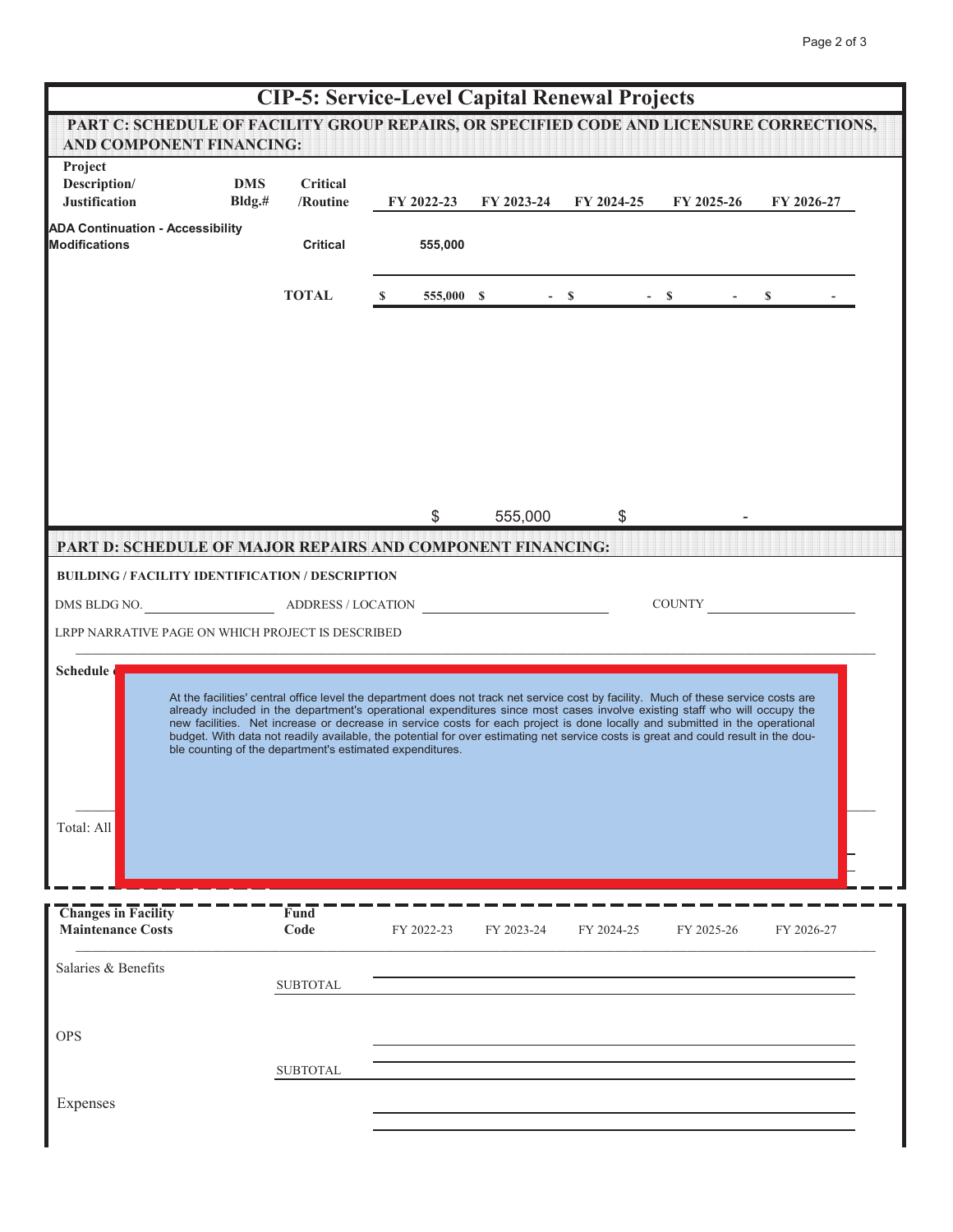|                                                                                                                             |                      |                                                          |    |            |            | <b>CIP-5: Service-Level Capital Renewal Projects</b> |                                                                                                                                                                                                                                                                                                                                                                                                                                                                                                                                       |            |  |
|-----------------------------------------------------------------------------------------------------------------------------|----------------------|----------------------------------------------------------|----|------------|------------|------------------------------------------------------|---------------------------------------------------------------------------------------------------------------------------------------------------------------------------------------------------------------------------------------------------------------------------------------------------------------------------------------------------------------------------------------------------------------------------------------------------------------------------------------------------------------------------------------|------------|--|
| PART C: SCHEDULE OF FACILITY GROUP REPAIRS, OR SPECIFIED CODE AND LICENSURE CORRECTIONS,<br><b>AND COMPONENT FINANCING:</b> |                      |                                                          |    |            |            |                                                      |                                                                                                                                                                                                                                                                                                                                                                                                                                                                                                                                       |            |  |
| Project<br>Description/<br><b>Justification</b><br><b>ADA Continuation - Accessibility</b>                                  | <b>DMS</b><br>Bldg.# | Critical<br>/Routine                                     |    | FY 2022-23 | FY 2023-24 | FY 2024-25                                           | FY 2025-26                                                                                                                                                                                                                                                                                                                                                                                                                                                                                                                            | FY 2026-27 |  |
| <b>Modifications</b>                                                                                                        |                      | <b>Critical</b>                                          |    | 555,000    |            |                                                      |                                                                                                                                                                                                                                                                                                                                                                                                                                                                                                                                       |            |  |
|                                                                                                                             |                      | <b>TOTAL</b>                                             | S. | 555,000 \$ |            | $-$ \$                                               | $- S$<br>$\overline{\phantom{a}}$                                                                                                                                                                                                                                                                                                                                                                                                                                                                                                     | \$         |  |
|                                                                                                                             |                      |                                                          |    |            |            |                                                      |                                                                                                                                                                                                                                                                                                                                                                                                                                                                                                                                       |            |  |
|                                                                                                                             |                      |                                                          |    | \$         | 555,000    | \$                                                   |                                                                                                                                                                                                                                                                                                                                                                                                                                                                                                                                       |            |  |
| PART D: SCHEDULE OF MAJOR REPAIRS AND COMPONENT FINANCING:<br><b>BUILDING / FACILITY IDENTIFICATION / DESCRIPTION</b>       |                      |                                                          |    |            |            |                                                      |                                                                                                                                                                                                                                                                                                                                                                                                                                                                                                                                       |            |  |
| DMS BLDG NO.                                                                                                                |                      | ADDRESS / LOCATION                                       |    |            |            |                                                      | <b>COUNTY</b>                                                                                                                                                                                                                                                                                                                                                                                                                                                                                                                         |            |  |
| LRPP NARRATIVE PAGE ON WHICH PROJECT IS DESCRIBED                                                                           |                      |                                                          |    |            |            |                                                      |                                                                                                                                                                                                                                                                                                                                                                                                                                                                                                                                       |            |  |
| Schedule<br>Total: All                                                                                                      |                      | ble counting of the department's estimated expenditures. |    |            |            |                                                      | At the facilities' central office level the department does not track net service cost by facility. Much of these service costs are<br>already included in the department's operational expenditures since most cases involve existing staff who will occupy the<br>new facilities. Net increase or decrease in service costs for each project is done locally and submitted in the operational<br>budget. With data not readily available, the potential for over estimating net service costs is great and could result in the dou- |            |  |
| <b>Changes in Facility</b><br><b>Maintenance Costs</b>                                                                      |                      | Fund<br>Code                                             |    | FY 2022-23 | FY 2023-24 | FY 2024-25                                           | FY 2025-26                                                                                                                                                                                                                                                                                                                                                                                                                                                                                                                            | FY 2026-27 |  |
| Salaries & Benefits                                                                                                         |                      | <b>SUBTOTAL</b>                                          |    |            |            |                                                      |                                                                                                                                                                                                                                                                                                                                                                                                                                                                                                                                       |            |  |
| <b>OPS</b>                                                                                                                  |                      |                                                          |    |            |            |                                                      |                                                                                                                                                                                                                                                                                                                                                                                                                                                                                                                                       |            |  |
|                                                                                                                             |                      | <b>SUBTOTAL</b>                                          |    |            |            |                                                      |                                                                                                                                                                                                                                                                                                                                                                                                                                                                                                                                       |            |  |
| Expenses                                                                                                                    |                      |                                                          |    |            |            |                                                      |                                                                                                                                                                                                                                                                                                                                                                                                                                                                                                                                       |            |  |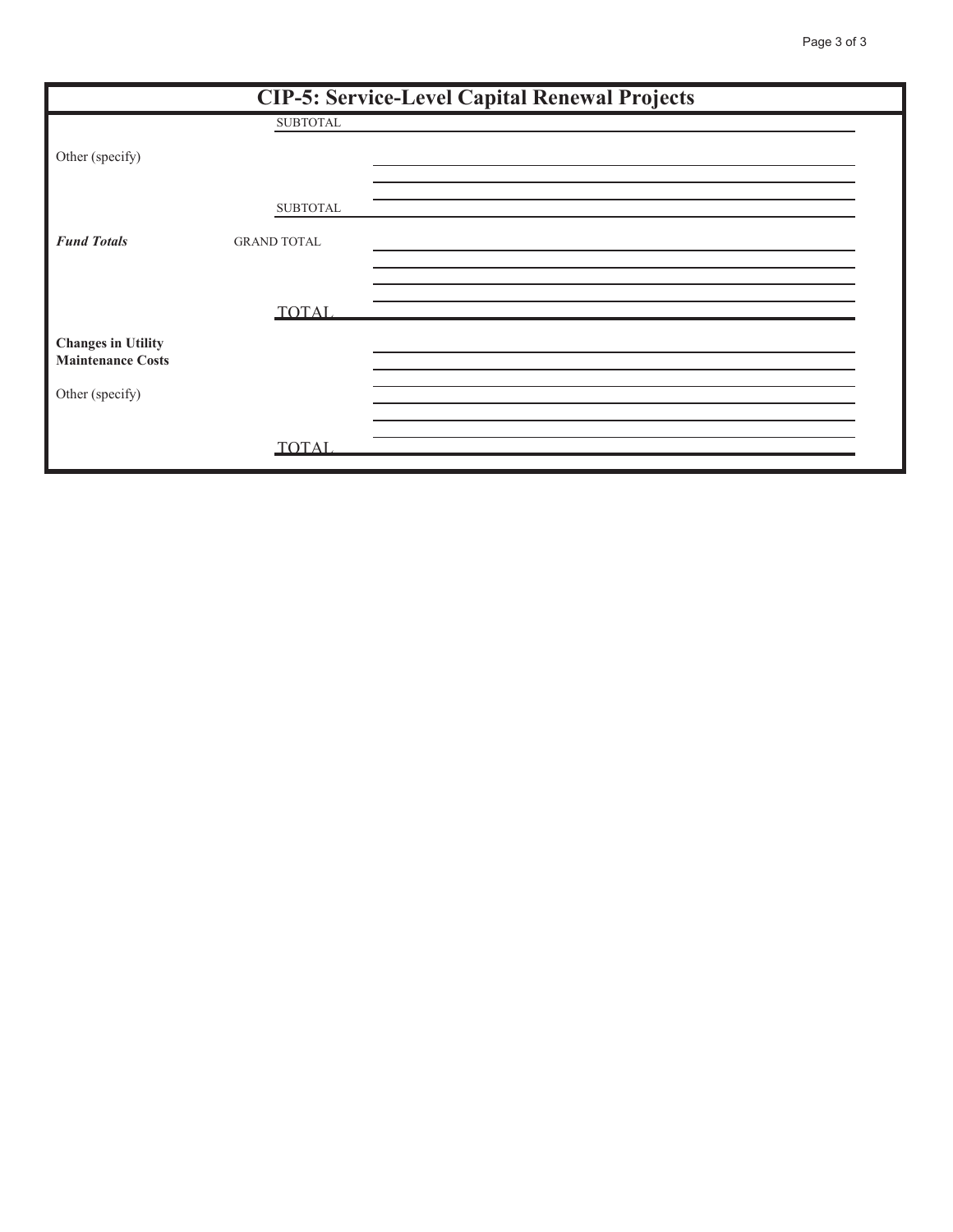| <b>CIP-5: Service-Level Capital Renewal Projects</b>  |                    |  |  |  |  |  |  |
|-------------------------------------------------------|--------------------|--|--|--|--|--|--|
|                                                       | <b>SUBTOTAL</b>    |  |  |  |  |  |  |
| Other (specify)                                       |                    |  |  |  |  |  |  |
|                                                       | <b>SUBTOTAL</b>    |  |  |  |  |  |  |
| <b>Fund Totals</b>                                    | <b>GRAND TOTAL</b> |  |  |  |  |  |  |
|                                                       |                    |  |  |  |  |  |  |
| <b>Changes in Utility</b><br><b>Maintenance Costs</b> | <b>TOTAL</b>       |  |  |  |  |  |  |
| Other (specify)                                       |                    |  |  |  |  |  |  |
|                                                       | <b>TOTAL</b>       |  |  |  |  |  |  |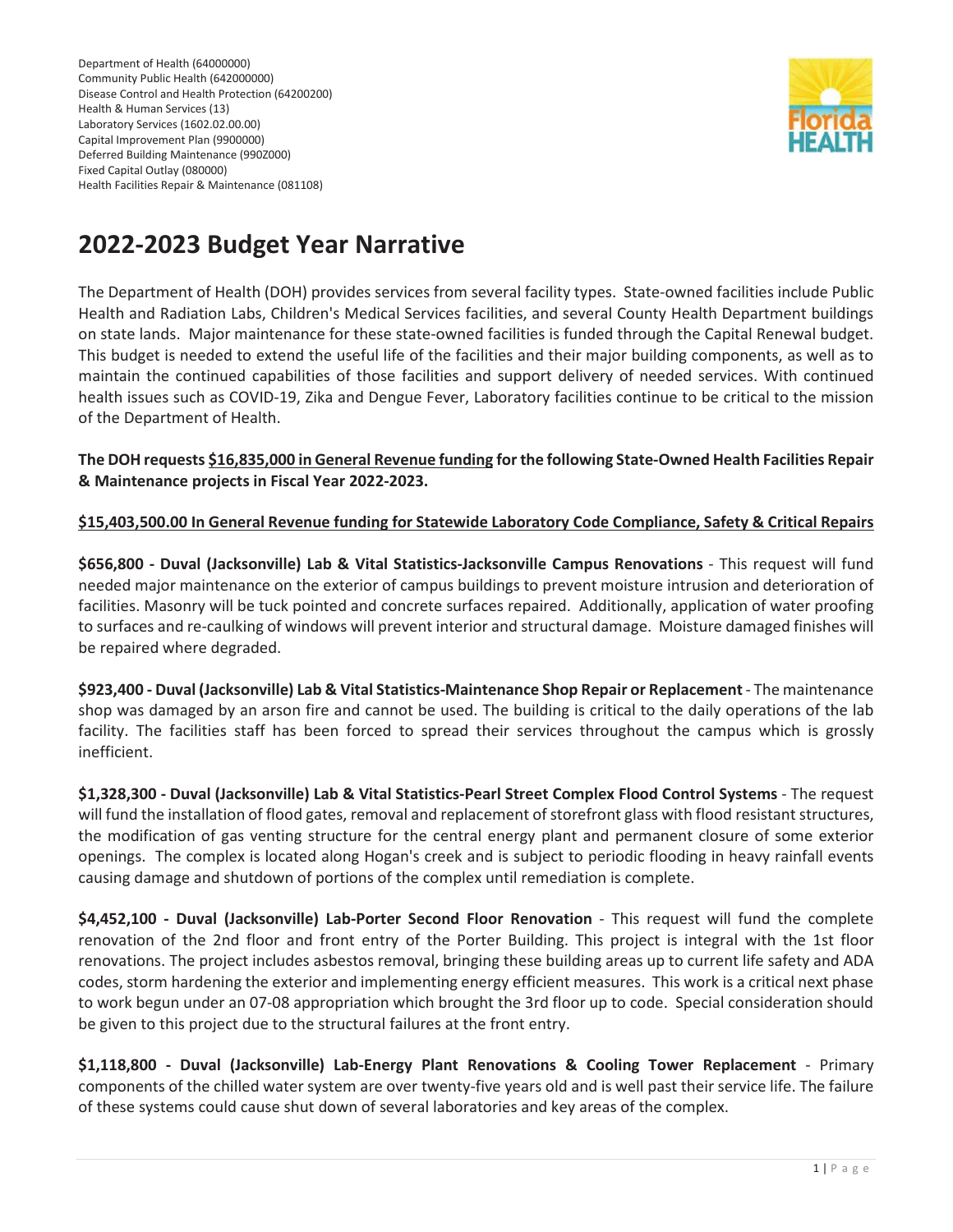Department of Health (64000000) Community Public Health (642000000) Disease Control and Health Protection (64200200) Health & Human Services (13) Laboratory Services (1602.02.00.00) Capital Improvement Plan (9900000) Deferred Building Maintenance (990Z000) Fixed Capital Outlay (080000) Health Facilities Repair & Maintenance (081108)



# **2022-2023 Budget Year Narrative**

The Department of Health (DOH) provides services from several facility types. State-owned facilities include Public Health and Radiation Labs, Children's Medical Services facilities, and several County Health Department buildings on state lands. Major maintenance for these state-owned facilities is funded through the Capital Renewal budget. This budget is needed to extend the useful life of the facilities and their major building components, as well as to maintain the continued capabilities of those facilities and support delivery of needed services. With continued health issues such as COVID-19, Zika and Dengue Fever, Laboratory facilities continue to be critical to the mission of the Department of Health.

#### **The DOH requests \$16,835,000 in General Revenue funding for the following State-Owned Health Facilities Repair & Maintenance projects in Fiscal Year 2022-2023.**

#### **\$15,403,500.00 In General Revenue funding for Statewide Laboratory Code Compliance, Safety & Critical Repairs**

**\$656,800 - Duval (Jacksonville) Lab & Vital Statistics-Jacksonville Campus Renovations** - This request will fund needed major maintenance on the exterior of campus buildings to prevent moisture intrusion and deterioration of facilities. Masonry will be tuck pointed and concrete surfaces repaired. Additionally, application of water proofing to surfaces and re-caulking of windows will prevent interior and structural damage. Moisture damaged finishes will be repaired where degraded.

**\$923,400 - Duval (Jacksonville) Lab & Vital Statistics-Maintenance Shop Repair or Replacement** - The maintenance shop was damaged by an arson fire and cannot be used. The building is critical to the daily operations of the lab facility. The facilities staff has been forced to spread their services throughout the campus which is grossly inefficient.

**\$1,328,300 - Duval (Jacksonville) Lab & Vital Statistics-Pearl Street Complex Flood Control Systems** - The request will fund the installation of flood gates, removal and replacement of storefront glass with flood resistant structures, the modification of gas venting structure for the central energy plant and permanent closure of some exterior openings. The complex is located along Hogan's creek and is subject to periodic flooding in heavy rainfall events causing damage and shutdown of portions of the complex until remediation is complete.

**\$4,452,100 - Duval (Jacksonville) Lab-Porter Second Floor Renovation** - This request will fund the complete renovation of the 2nd floor and front entry of the Porter Building. This project is integral with the 1st floor renovations. The project includes asbestos removal, bringing these building areas up to current life safety and ADA codes, storm hardening the exterior and implementing energy efficient measures. This work is a critical next phase to work begun under an 07-08 appropriation which brought the 3rd floor up to code. Special consideration should be given to this project due to the structural failures at the front entry.

**\$1,118,800 - Duval (Jacksonville) Lab-Energy Plant Renovations & Cooling Tower Replacement** - Primary components of the chilled water system are over twenty-five years old and is well past their service life. The failure of these systems could cause shut down of several laboratories and key areas of the complex.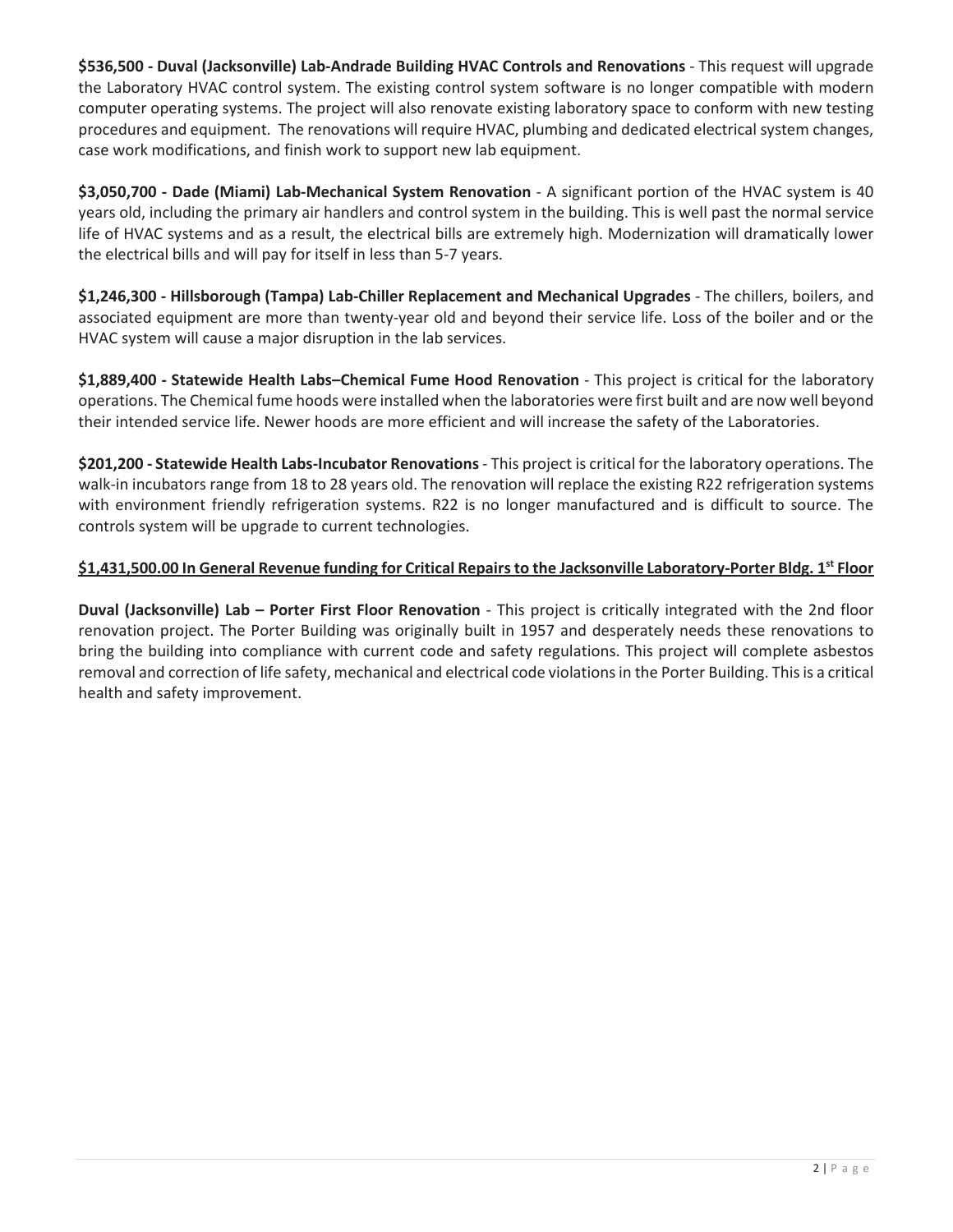**\$536,500 - Duval (Jacksonville) Lab-Andrade Building HVAC Controls and Renovations** - This request will upgrade the Laboratory HVAC control system. The existing control system software is no longer compatible with modern computer operating systems. The project will also renovate existing laboratory space to conform with new testing procedures and equipment. The renovations will require HVAC, plumbing and dedicated electrical system changes, case work modifications, and finish work to support new lab equipment.

**\$3,050,700 - Dade (Miami) Lab-Mechanical System Renovation** - A significant portion of the HVAC system is 40 years old, including the primary air handlers and control system in the building. This is well past the normal service life of HVAC systems and as a result, the electrical bills are extremely high. Modernization will dramatically lower the electrical bills and will pay for itself in less than 5-7 years.

**\$1,246,300 - Hillsborough (Tampa) Lab-Chiller Replacement and Mechanical Upgrades** - The chillers, boilers, and associated equipment are more than twenty-year old and beyond their service life. Loss of the boiler and or the HVAC system will cause a major disruption in the lab services.

**\$1,889,400 - Statewide Health Labs–Chemical Fume Hood Renovation** - This project is critical for the laboratory operations. The Chemical fume hoods were installed when the laboratories were first built and are now well beyond their intended service life. Newer hoods are more efficient and will increase the safety of the Laboratories.

**\$201,200 - Statewide Health Labs-Incubator Renovations** - This project is critical for the laboratory operations. The walk-in incubators range from 18 to 28 years old. The renovation will replace the existing R22 refrigeration systems with environment friendly refrigeration systems. R22 is no longer manufactured and is difficult to source. The controls system will be upgrade to current technologies.

## **\$1,431,500.00 In General Revenue funding for Critical Repairs to the Jacksonville Laboratory-Porter Bldg. 1st Floor**

**Duval (Jacksonville) Lab – Porter First Floor Renovation** - This project is critically integrated with the 2nd floor renovation project. The Porter Building was originally built in 1957 and desperately needs these renovations to bring the building into compliance with current code and safety regulations. This project will complete asbestos removal and correction of life safety, mechanical and electrical code violations in the Porter Building. This is a critical health and safety improvement.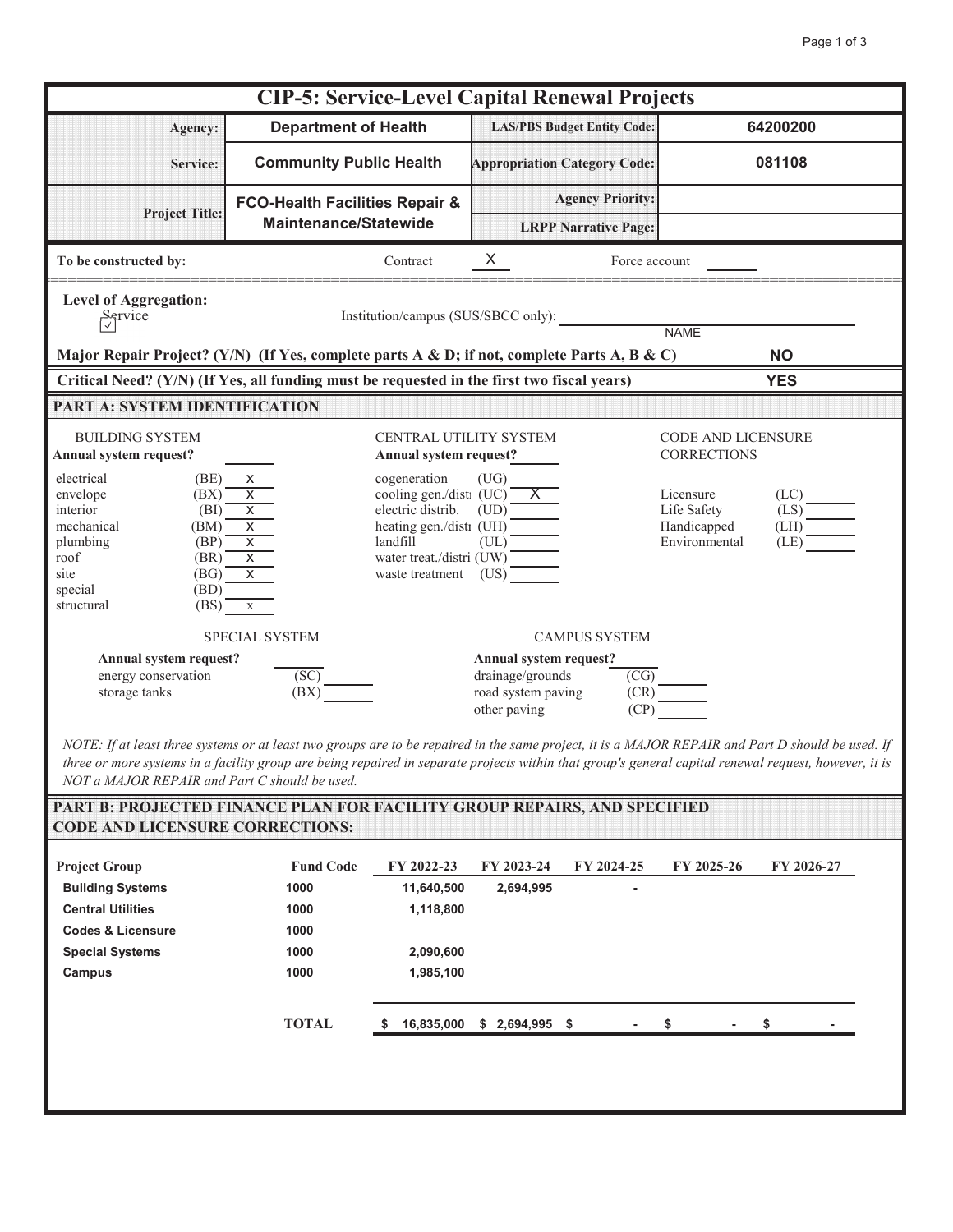| <b>CIP-5: Service-Level Capital Renewal Projects</b>                                                                                                                                                                 |                                                                                                                                            |                                                                                                                                 |                                                              |                                     |  |  |  |  |
|----------------------------------------------------------------------------------------------------------------------------------------------------------------------------------------------------------------------|--------------------------------------------------------------------------------------------------------------------------------------------|---------------------------------------------------------------------------------------------------------------------------------|--------------------------------------------------------------|-------------------------------------|--|--|--|--|
| Agency:                                                                                                                                                                                                              | <b>Department of Health</b>                                                                                                                | <b>LAS/PBS Budget Entity Code:</b>                                                                                              |                                                              | 64200200                            |  |  |  |  |
| Service:                                                                                                                                                                                                             | <b>Community Public Health</b>                                                                                                             | <b>Appropriation Category Code:</b>                                                                                             |                                                              | 081108                              |  |  |  |  |
| <b>Project Title:</b>                                                                                                                                                                                                | <b>FCO-Health Facilities Repair &amp;</b><br><b>Maintenance/Statewide</b>                                                                  | <b>Agency Priority:</b><br><b>LRPP Narrative Page:</b>                                                                          |                                                              |                                     |  |  |  |  |
| To be constructed by:                                                                                                                                                                                                | Contract                                                                                                                                   | $X_{-}$<br>Force account                                                                                                        |                                                              |                                     |  |  |  |  |
| <b>Level of Aggregation:</b><br>$\frac{S_{\text{c}}}{\sqrt{2}}$<br>Institution/campus (SUS/SBCC only):<br><b>NAMF</b>                                                                                                |                                                                                                                                            |                                                                                                                                 |                                                              |                                     |  |  |  |  |
| Major Repair Project? (Y/N) (If Yes, complete parts A & D; if not, complete Parts A, B & C)<br><b>NO</b><br>Critical Need? (Y/N) (If Yes, all funding must be requested in the first two fiscal years)<br><b>YES</b> |                                                                                                                                            |                                                                                                                                 |                                                              |                                     |  |  |  |  |
| PART A: SYSTEM IDENTIFICATION                                                                                                                                                                                        |                                                                                                                                            |                                                                                                                                 |                                                              |                                     |  |  |  |  |
| <b>BUILDING SYSTEM</b><br>Annual system request?<br>electrical<br>(BE)<br>envelope<br>(BX)                                                                                                                           | Annual system request?<br>cogeneration<br>X<br>$\overline{\mathsf{x}}$                                                                     | CENTRAL UTILITY SYSTEM<br>(UG)                                                                                                  | <b>CODE AND LICENSURE</b><br><b>CORRECTIONS</b><br>Licensure | (LC)                                |  |  |  |  |
| interior<br>(BI)<br>mechanical<br>(BM)<br>(BP)<br>plumbing<br>roof<br>(BR)<br>(BG)<br>site<br>(BD)<br>special<br>(BS)<br>structural                                                                                  | $\overline{X}$<br>$\overline{\mathsf{x}}$<br>$\overline{X}$<br>$\overline{\mathsf{x}}$<br>$\overline{X}$<br>waste treatment<br>$\mathbf X$ | cooling gen./dist (UC)<br>electric distrib. (UD)<br>heating gen./dist (UH)<br>landfill (UL)<br>water treat./distri (UW)<br>(US) | Life Safety<br>Handicapped<br>Environmental                  | $(LS)$ <sup>-</sup><br>(LH)<br>(LE) |  |  |  |  |
|                                                                                                                                                                                                                      | SPECIAL SYSTEM                                                                                                                             | <b>CAMPUS SYSTEM</b>                                                                                                            |                                                              |                                     |  |  |  |  |
| Annual system request?<br>energy conservation<br>storage tanks                                                                                                                                                       | (S <sub>C</sub> )<br>(BX)                                                                                                                  | Annual system request?<br>drainage/grounds<br>$\overline{\text{(\text{CG})}}$<br>road system paving<br>(CP)<br>other paving     | (CR)                                                         |                                     |  |  |  |  |

*NOTE: If at least three systems or at least two groups are to be repaired in the same project, it is a MAJOR REPAIR and Part D should be used. If three or more systems in a facility group are being repaired in separate projects within that group's general capital renewal request, however, it is NOT a MAJOR REPAIR and Part C should be used.*

| <b>Project Group</b>         | <b>Fund Code</b> | FY 2022-23      | FY 2023-24      | FY 2024-25 | FY 2025-26 | FY 2026-27 |
|------------------------------|------------------|-----------------|-----------------|------------|------------|------------|
| <b>Building Systems</b>      | 1000             | 11,640,500      | 2,694,995       |            |            |            |
| <b>Central Utilities</b>     | 1000             | 1,118,800       |                 |            |            |            |
| <b>Codes &amp; Licensure</b> | 1000             |                 |                 |            |            |            |
| <b>Special Systems</b>       | 1000             | 2,090,600       |                 |            |            |            |
| Campus                       | 1000             | 1,985,100       |                 |            |            |            |
|                              | <b>TOTAL</b>     | 16,835,000<br>S | $$2,694,995$ \$ |            |            | S          |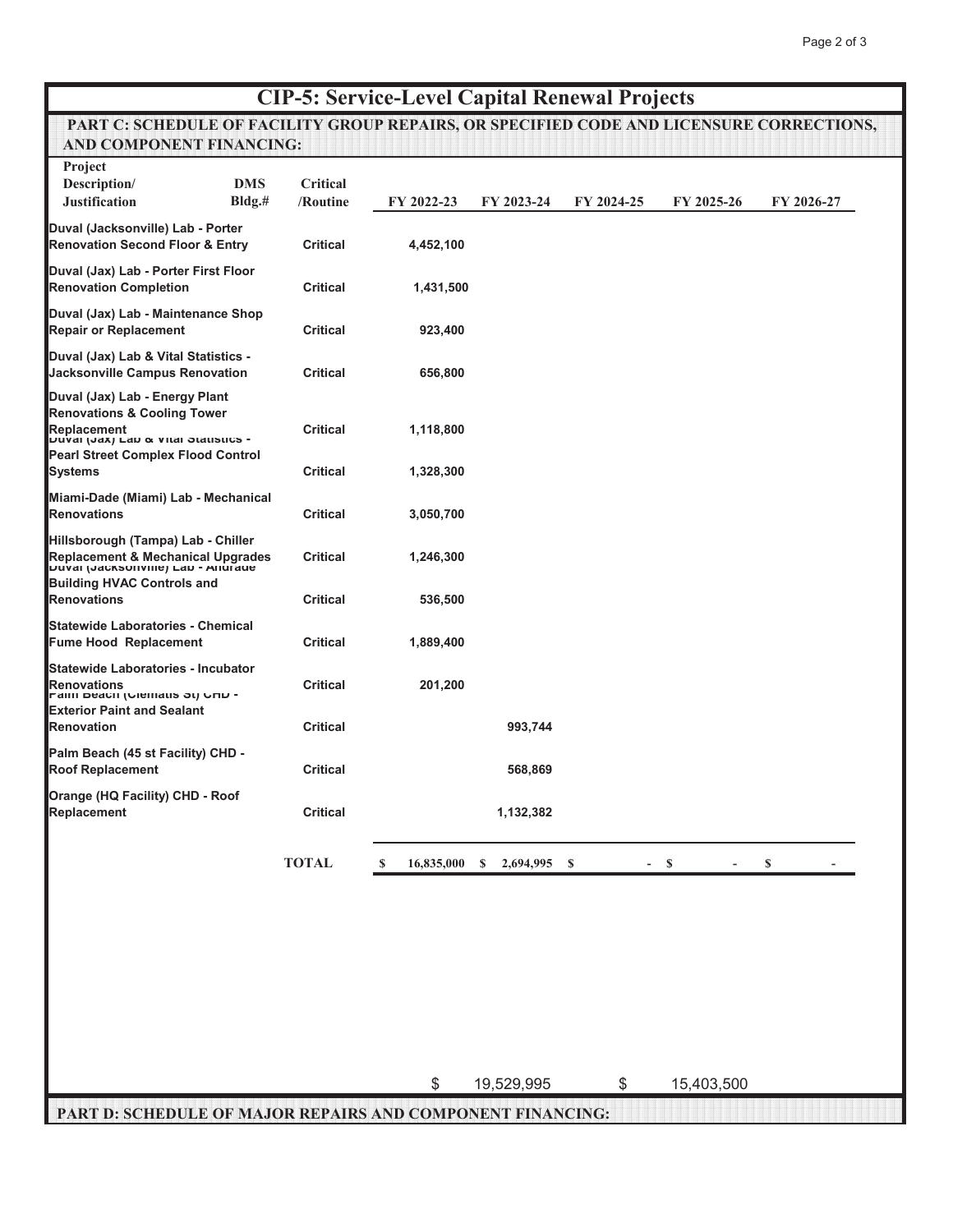# **CIP-5: Service-Level Capital Renewal Projects**

## **PART C: SCHEDULE OF FACILITY GROUP REPAIRS, OR SPECIFIED CODE AND LICENSURE CORRECTIONS, AND COMPONENT FINANCING:**

| Project                                                                                                                                                                                      | <b>DMS</b> |                                    |                        |                               |            |            |            |
|----------------------------------------------------------------------------------------------------------------------------------------------------------------------------------------------|------------|------------------------------------|------------------------|-------------------------------|------------|------------|------------|
| Description/<br><b>Justification</b>                                                                                                                                                         | Bldg.#     | Critical<br>/Routine               | FY 2022-23             | FY 2023-24                    | FY 2024-25 | FY 2025-26 | FY 2026-27 |
| Duval (Jacksonville) Lab - Porter<br><b>Renovation Second Floor &amp; Entry</b>                                                                                                              |            | <b>Critical</b>                    | 4,452,100              |                               |            |            |            |
| Duval (Jax) Lab - Porter First Floor<br><b>Renovation Completion</b>                                                                                                                         |            | <b>Critical</b>                    | 1,431,500              |                               |            |            |            |
| Duval (Jax) Lab - Maintenance Shop<br><b>Repair or Replacement</b>                                                                                                                           |            | <b>Critical</b>                    | 923,400                |                               |            |            |            |
| Duval (Jax) Lab & Vital Statistics -<br>Jacksonville Campus Renovation                                                                                                                       |            | <b>Critical</b>                    | 656,800                |                               |            |            |            |
| Duval (Jax) Lab - Energy Plant<br><b>Renovations &amp; Cooling Tower</b><br>Replacement<br>דעשטן (שמען במט פּ פונט סומנושטט -<br><b>Pearl Street Complex Flood Control</b><br><b>Systems</b> |            | <b>Critical</b><br><b>Critical</b> | 1,118,800<br>1,328,300 |                               |            |            |            |
| Miami-Dade (Miami) Lab - Mechanical<br><b>Renovations</b>                                                                                                                                    |            | <b>Critical</b>                    | 3,050,700              |                               |            |            |            |
| Hillsborough (Tampa) Lab - Chiller<br>Replacement & Mechanical Upgrades<br>Duval (Jacksonville) Lab - Andrade<br><b>Building HVAC Controls and</b>                                           |            | <b>Critical</b>                    | 1,246,300              |                               |            |            |            |
| <b>Renovations</b>                                                                                                                                                                           |            | <b>Critical</b>                    | 536,500                |                               |            |            |            |
| <b>Statewide Laboratories - Chemical</b><br><b>Fume Hood Replacement</b>                                                                                                                     |            | <b>Critical</b>                    | 1,889,400              |                               |            |            |            |
| Statewide Laboratories - Incubator<br><b>Renovations</b><br>- Maill Deach (Olemans of) OND                                                                                                   |            | <b>Critical</b>                    | 201,200                |                               |            |            |            |
| <b>Exterior Paint and Sealant</b><br><b>Renovation</b>                                                                                                                                       |            | <b>Critical</b>                    |                        | 993,744                       |            |            |            |
| Palm Beach (45 st Facility) CHD -<br><b>Roof Replacement</b>                                                                                                                                 |            | <b>Critical</b>                    |                        | 568,869                       |            |            |            |
| Orange (HQ Facility) CHD - Roof<br>Replacement                                                                                                                                               |            | <b>Critical</b>                    |                        | 1,132,382                     |            |            |            |
|                                                                                                                                                                                              |            | <b>TOTAL</b>                       |                        | \$ 16,835,000 \$ 2,694,995 \$ |            | $- S$      | \$         |

\$ 19,529,995 \$ 15,403,500

 **PART D: SCHEDULE OF MAJOR REPAIRS AND COMPONENT FINANCING:**